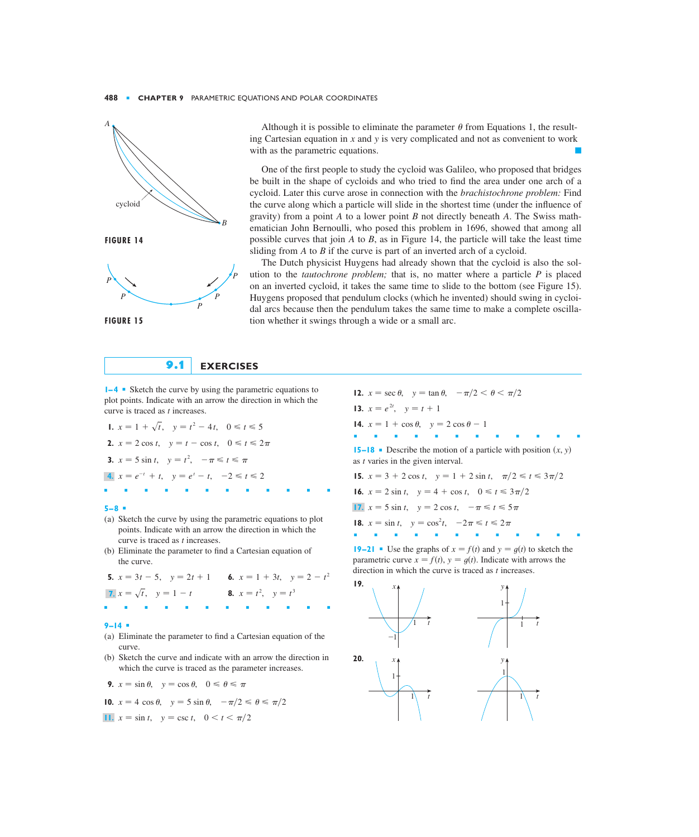

Although it is possible to eliminate the parameter  $\theta$  from Equations 1, the resulting Cartesian equation in  $x$  and  $y$  is very complicated and not as convenient to work with as the parametric equations.

One of the first people to study the cycloid was Galileo, who proposed that bridges be built in the shape of cycloids and who tried to find the area under one arch of a cycloid. Later this curve arose in connection with the *brachistochrone problem:* Find the curve along which a particle will slide in the shortest time (under the influence of gravity) from a point A to a lower point B not directly beneath A. The Swiss mathematician John Bernoulli, who posed this problem in 1696, showed that among all possible curves that join  $A$  to  $B$ , as in Figure 14, the particle will take the least time sliding from  $A$  to  $B$  if the curve is part of an inverted arch of a cycloid.

The Dutch physicist Huygens had already shown that the cycloid is also the solution to the *tautochrone problem*; that is, no matter where a particle  $P$  is placed on an inverted cycloid, it takes the same time to slide to the bottom (see Figure 15). Huygens proposed that pendulum clocks (which he invented) should swing in cycloidal arcs because then the pendulum takes the same time to make a complete oscillation whether it swings through a wide or a small arc.

# **9.1 EXERCISES**

*z z* **■ Sketch the curve by using the parametric equations to** plot points. Indicate with an arrow the direction in which the curve is traced as *t* increases.

**1.**  $x = 1 + \sqrt{t}$ ,  $y = t^2 - 4t$ ,  $0 \le t \le 5$ **2.**  $x = 2 \cos t$ ,  $y = t - \cos t$ ,  $0 \le t \le 2\pi$ **3.**  $x = 5 \sin t$ ,  $y = t^2$ ,  $-\pi \le t \le \pi$ 4.  $x = e^{-t} + t$ ,  $y = e^{t} - t$ ,  $-2 \le t \le 2$ 

#### **5–8** ■

(a) Sketch the curve by using the parametric equations to plot points. Indicate with an arrow the direction in which the curve is traced as *t* increases.

■■■■■■■■■■■■

(b) Eliminate the parameter to find a Cartesian equation of the curve.

**5.**  $x = 3t - 5$ ,  $y = 2t + 1$  **6.**  $x = 1 + 3t$ ,  $y = 2 - t^2$ **7.**  $x = \sqrt{t}$ ,  $y = 1 - t$  <br>**8.**  $x = t^2$ ,  $y = t^3$ ■■■■■■■■■■■■

### **9–14** ■

- (a) Eliminate the parameter to find a Cartesian equation of the curve.
- (b) Sketch the curve and indicate with an arrow the direction in which the curve is traced as the parameter increases.
- **9.**  $x = \sin \theta$ ,  $y = \cos \theta$ ,  $0 \le \theta \le \pi$

**10.** 
$$
x = 4 \cos \theta
$$
,  $y = 5 \sin \theta$ ,  $-\pi/2 \le \theta \le \pi/2$ 

**11.** 
$$
x = \sin t
$$
,  $y = \csc t$ ,  $0 < t < \pi/2$ 

**12.**  $x = \sec \theta$ ,  $y = \tan \theta$ ,  $-\pi/2 < \theta < \pi/2$ **13.**  $x = e^{2t}$ ,  $y = t + 1$ **14.**  $x = 1 + \cos \theta$ ,  $y = 2 \cos \theta - 1$ ■■■■■■■■■■■■ **15–18** • Describe the motion of a particle with position  $(x, y)$ as *t* varies in the given interval. **15.**  $x = 3 + 2 \cos t$ ,  $y = 1 + 2 \sin t$ ,  $\pi/2 \le t \le 3\pi/2$ **16.**  $x = 2 \sin t$ ,  $y = 4 + \cos t$ ,  $0 \le t \le 3\pi/2$ **17.**  $x = 5 \sin t$ ,  $y = 2 \cos t$ ,  $-\pi \le t \le 5\pi$ **18.**  $x = \sin t$ ,  $y = \cos^2 t$ ,  $-2\pi \le t \le 2\pi$ ■■■■■■■■■■■■

**19–21** • Use the graphs of  $x = f(t)$  and  $y = g(t)$  to sketch the parametric curve  $x = f(t)$ ,  $y = g(t)$ . Indicate with arrows the direction in which the curve is traced as  $t$  increases.

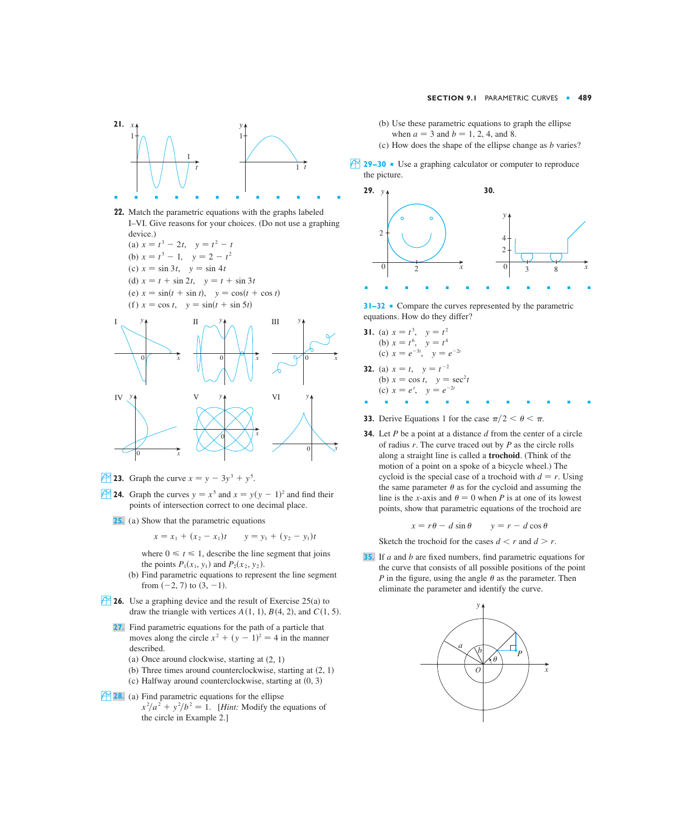

- **22.** Match the parametric equations with the graphs labeled I–VI. Give reasons for your choices. (Do not use a graphing device.)
	- $f(x)$   $x = t^3 2t$ ,  $y = t^2 t$ (b)  $x = t^3 - 1$ ,  $y = 2 - t^2$ (c)  $x = \sin 3t$ ,  $y = \sin 4t$ (d)  $x = t + \sin 2t$ ,  $y = t + \sin 3t$  $(e)$   $x = \sin(t + \sin t), y = \cos(t + \cos t)$  $(f)$   $x = \cos t$ ,  $y = \sin(t + \sin 5t)$



- **23.** Graph the curve  $x = y 3y^3 + y^5$ .
- **24.** Graph the curves  $y = x^5$  and  $x = y(y 1)^2$  and find their points of intersection correct to one decimal place.
	- (a) Show that the parametric equations **25.**

$$
x = x_1 + (x_2 - x_1)t \qquad y = y_1 + (y_2 - y_1)t
$$

where  $0 \le t \le 1$ , describe the line segment that joins the points  $P_1(x_1, y_1)$  and  $P_2(x_2, y_2)$ .

- (b) Find parametric equations to represent the line segment from  $(-2, 7)$  to  $(3, -1)$ .
- **26.** Use a graphing device and the result of Exercise 25(a) to draw the triangle with vertices  $A(1, 1), B(4, 2),$  and  $C(1, 5)$ .
	- Find parametric equations for the path of a particle that **27.** moves along the circle  $x^2 + (y - 1)^2 = 4$  in the manner described.
		- (a) Once around clockwise, starting at  $(2, 1)$
		- (b) Three times around counterclockwise, starting at  $(2, 1)$
		- $(c)$  Halfway around counterclockwise, starting at  $(0, 3)$
- **28.** (a) Find parametric equations for the ellipse  $x^2/a^2 + y^2/b^2 = 1$ . [*Hint:* Modify the equations of the circle in Example 2.]
- (b) Use these parametric equations to graph the ellipse when  $a = 3$  and  $b = 1, 2, 4$ , and 8.
- (c) How does the shape of the ellipse change as *b* varies?
- ; **29–30** Use a graphing calculator or computer to reproduce the picture.



**31–32** ■ Compare the curves represented by the parametric equations. How do they differ?

- **31.** (a)  $x = t^3$ ,  $y = t^2$ (b)  $x = t^6$ , (c)  $x = e^{-3t}$ ,  $y = e^{-2t}$ **32.** (a)  $x = t$ ,  $y = t^{-2}$  $x = t^6$ ,  $y = t^4$
- (b)  $x = \cos t$ ,  $y = \sec^2 t$ (c)  $x = e^t$ ,  $y = e^{-2t}$
- **33.** Derive Equations 1 for the case  $\pi/2 < \theta < \pi$ .

■■■■■■■■■■■■

**34.** Let P be a point at a distance  $d$  from the center of a circle of radius  $r$ . The curve traced out by  $P$  as the circle rolls along a straight line is called a **trochoid**. (Think of the motion of a point on a spoke of a bicycle wheel.) The cycloid is the special case of a trochoid with  $d = r$ . Using the same parameter  $\theta$  as for the cycloid and assuming the line is the *x*-axis and  $\theta = 0$  when *P* is at one of its lowest points, show that parametric equations of the trochoid are

$$
x = r\theta - d\sin\theta \qquad y = r - d\cos\theta
$$

Sketch the trochoid for the cases  $d < r$  and  $d > r$ .

**35.** If a and b are fixed numbers, find parametric equations for the curve that consists of all possible positions of the point P in the figure, using the angle  $\theta$  as the parameter. Then eliminate the parameter and identify the curve.